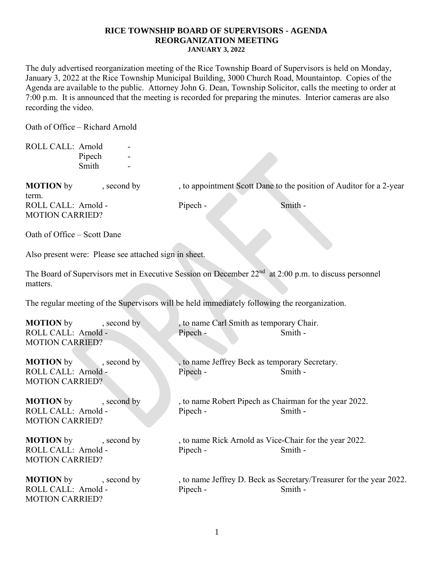The duly advertised reorganization meeting of the Rice Township Board of Supervisors is held on Monday, January 3, 2022 at the Rice Township Municipal Building, 3000 Church Road, Mountaintop. Copies of the Agenda are available to the public. Attorney John G. Dean, Township Solicitor, calls the meeting to order at 7:00 p.m. It is announced that the meeting is recorded for preparing the minutes. Interior cameras are also recording the video.

Oath of Office – Richard Arnold

| ROLL CALL: Arnold                                                                             | Pipech<br>Smith                                       |  |                                                                    |                                                                                                                  |  |  |
|-----------------------------------------------------------------------------------------------|-------------------------------------------------------|--|--------------------------------------------------------------------|------------------------------------------------------------------------------------------------------------------|--|--|
| <b>MOTION</b> by<br>term.                                                                     | , second by                                           |  |                                                                    | , to appointment Scott Dane to the position of Auditor for a 2-year                                              |  |  |
| ROLL CALL: Arnold -<br><b>MOTION CARRIED?</b>                                                 |                                                       |  | Pipech -                                                           | Smith -                                                                                                          |  |  |
| Oath of Office - Scott Dane                                                                   |                                                       |  |                                                                    |                                                                                                                  |  |  |
|                                                                                               | Also present were: Please see attached sign in sheet. |  |                                                                    |                                                                                                                  |  |  |
| matters.                                                                                      |                                                       |  |                                                                    | The Board of Supervisors met in Executive Session on December 22 <sup>nd</sup> at 2:00 p.m. to discuss personnel |  |  |
| The regular meeting of the Supervisors will be held immediately following the reorganization. |                                                       |  |                                                                    |                                                                                                                  |  |  |
| <b>MOTION</b> by<br>ROLL CALL: Arnold -<br><b>MOTION CARRIED?</b>                             | , second by                                           |  | , to name Carl Smith as temporary Chair.<br>Pipech -               | Smith -                                                                                                          |  |  |
| <b>MOTION</b> by<br>ROLL CALL: Arnold -<br><b>MOTION CARRIED?</b>                             | $\sim$ , second by                                    |  | , to name Jeffrey Beck as temporary Secretary.<br>Pipech -         | Smith -                                                                                                          |  |  |
| ROLL CALL: Arnold -<br><b>MOTION CARRIED?</b>                                                 | <b>MOTION</b> by second by                            |  | , to name Robert Pipech as Chairman for the year 2022.<br>Pipech - | Smith -                                                                                                          |  |  |
| ROLL CALL: Arnold -<br><b>MOTION CARRIED?</b>                                                 | <b>MOTION</b> by second by                            |  | , to name Rick Arnold as Vice-Chair for the year 2022.<br>Pipech - | Smith -                                                                                                          |  |  |
| <b>MOTION</b> by<br>ROLL CALL: Arnold -<br><b>MOTION CARRIED?</b>                             | , second by                                           |  | Pipech -                                                           | , to name Jeffrey D. Beck as Secretary/Treasurer for the year 2022.<br>Smith -                                   |  |  |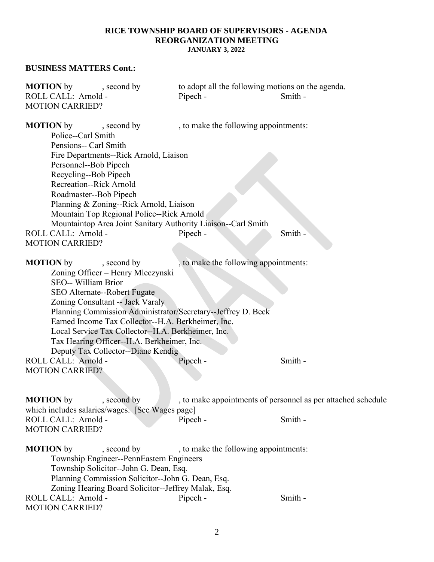#### **BUSINESS MATTERS Cont.:**

| <b>MOTION</b> by       | , second by |          | to adopt all the following motions on the agenda. |
|------------------------|-------------|----------|---------------------------------------------------|
| ROLL CALL: Arnold -    |             | Pipech - | Smith -                                           |
| <b>MOTION CARRIED?</b> |             |          |                                                   |

**MOTION** by second by , to make the following appointments: Police--Carl Smith Pensions-- Carl Smith Fire Departments--Rick Arnold, Liaison Personnel--Bob Pipech Recycling--Bob Pipech Recreation--Rick Arnold Roadmaster--Bob Pipech Planning & Zoning--Rick Arnold, Liaison Mountain Top Regional Police--Rick Arnold Mountaintop Area Joint Sanitary Authority Liaison--Carl Smith ROLL CALL: Arnold - Pipech - Smith -MOTION CARRIED?

**MOTION** by , second by , to make the following appointments: Zoning Officer – Henry Mleczynski SEO-- William Brior SEO Alternate--Robert Fugate Zoning Consultant -- Jack Varaly Planning Commission Administrator/Secretary--Jeffrey D. Beck Earned Income Tax Collector--H.A. Berkheimer, Inc. Local Service Tax Collector--H.A. Berkheimer, Inc. Tax Hearing Officer--H.A. Berkheimer, Inc. Deputy Tax Collector*--*Diane Kendig ROLL CALL: Arnold - Pipech - Smith -MOTION CARRIED?

**MOTION** by , second by , to make appointments of personnel as per attached schedule which includes salaries/wages. [See Wages page] ROLL CALL: Arnold - Pipech - Smith -MOTION CARRIED?

**MOTION** by , second by , to make the following appointments: Township Engineer--PennEastern Engineers Township Solicitor--John G. Dean, Esq*.* Planning Commission Solicitor--John G. Dean, Esq. Zoning Hearing Board Solicitor--Jeffrey Malak, Esq*.* ROLL CALL: Arnold - The Pipech - Smith -MOTION CARRIED?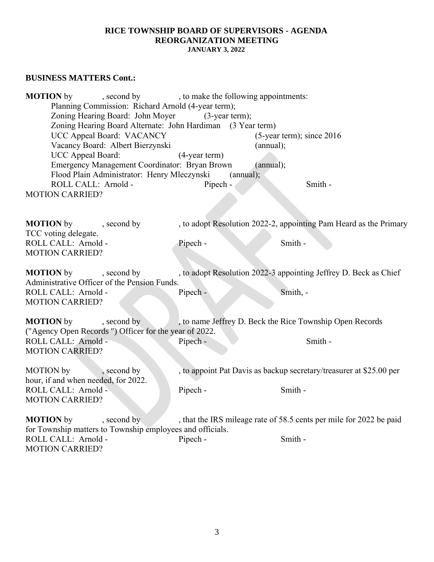# **BUSINESS MATTERS Cont.:**

**MOTION** by , second by , to make the following appointments: Planning Commission: Richard Arnold (4-year term); Zoning Hearing Board: John Moyer (3-year term); Zoning Hearing Board Alternate: John Hardiman (3 Year term) UCC Appeal Board: VACANCY (5-year term); since 2016 Vacancy Board: Albert Bierzynski (annual); UCC Appeal Board: (4-year term) Emergency Management Coordinator: Bryan Brown (annual); Flood Plain Administrator: Henry Mleczynski (annual); ROLL CALL: Arnold - Pipech - Smith -MOTION CARRIED? **MOTION** by , second by , to adopt Resolution 2022-2, appointing Pam Heard as the Primary TCC voting delegate. ROLL CALL: Arnold - Pipech - Smith -MOTION CARRIED? **MOTION** by , second by , to adopt Resolution 2022-3 appointing Jeffrey D. Beck as Chief Administrative Officer of the Pension Funds. ROLL CALL: Arnold - Pipech - Smith, -MOTION CARRIED? **MOTION** by , second by , to name Jeffrey D. Beck the Rice Township Open Records ("Agency Open Records ") Officer for the year of 2022. ROLL CALL: Arnold - Pipech - Smith -MOTION CARRIED? MOTION by , second by , to appoint Pat Davis as backup secretary/treasurer at \$25.00 per hour, if and when needed, for 2022. ROLL CALL: Arnold - Pipech - Smith -MOTION CARRIED? **MOTION** by , second by , that the IRS mileage rate of 58.5 cents per mile for 2022 be paid for Township matters to Township employees and officials. ROLL CALL: Arnold - The Pipech - Smith -

MOTION CARRIED?